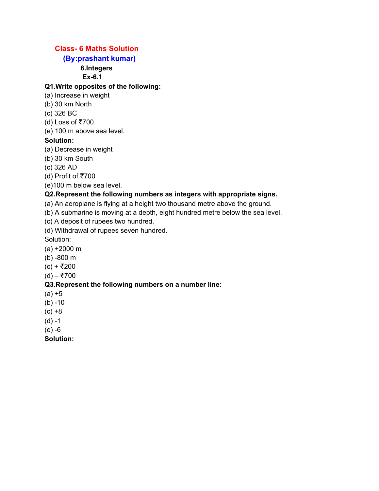# **Class- 6 Maths Solution**

## **(By:prashant kumar)**

## **6.Integers**

**Ex-6.1**

## **Q1.Write opposites of the following:**

- (a) Increase in weight
- (b) 30 km North
- (c) 326 BC
- (d) Loss of ₹700
- (e) 100 m above sea level.

### **Solution:**

- (a) Decrease in weight
- (b) 30 km South
- (c) 326 AD
- (d) Profit of ₹700
- (e)100 m below sea level.

### **Q2.Represent the following numbers as integers with appropriate signs.**

- (a) An aeroplane is flying at a height two thousand metre above the ground.
- (b) A submarine is moving at a depth, eight hundred metre below the sea level.

(c) A deposit of rupees two hundred.

(d) Withdrawal of rupees seven hundred.

Solution:

- (a) +2000 m
- (b) -800 m
- (c) + ₹200
- (d) ₹700

#### **Q3.Represent the following numbers on a number line:**

- $(a) + 5$
- $(b) -10$
- $(c) +8$
- $(d) -1$
- (e) -6

**Solution:**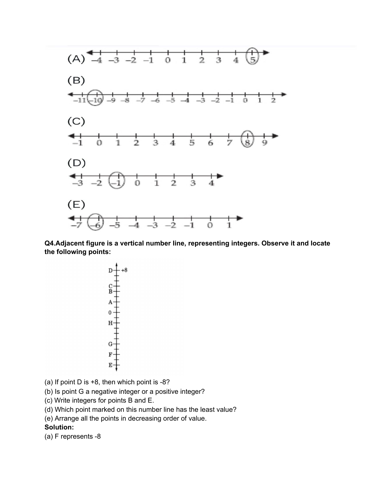

**Q4.Adjacent figure is a vertical number line, representing integers. Observe it and locate the following points:**



- (a) If point D is +8, then which point is -8?
- (b) Is point G a negative integer or a positive integer?
- (c) Write integers for points B and E.
- (d) Which point marked on this number line has the least value?
- (e) Arrange all the points in decreasing order of value.

#### **Solution:**

(a) F represents -8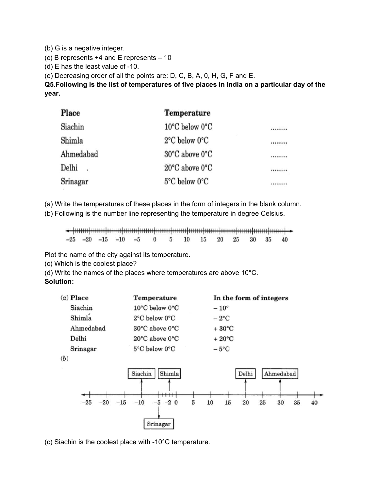(b) G is a negative integer.

(c) B represents +4 and E represents – 10

(d) E has the least value of -10.

(e) Decreasing order of all the points are: D, C, B, A, 0, H, G, F and E.

**Q5.Following is the list of temperatures of five places in India on a particular day of the year.**

| Place     | <b>Temperature</b>                 |           |  |
|-----------|------------------------------------|-----------|--|
| Siachin   | $10^{\circ}$ C below $0^{\circ}$ C |           |  |
| Shimla    | $2^{\circ}$ C below $0^{\circ}$ C  |           |  |
| Ahmedabad | $30^{\circ}$ C above $0^{\circ}$ C |           |  |
| Delhi     | $20^{\circ}$ C above $0^{\circ}$ C | ********* |  |
| Srinagar  | 5°C below 0°C                      |           |  |

(a) Write the temperatures of these places in the form of integers in the blank column.

(b) Following is the number line representing the temperature in degree Celsius.

 $-25$   $-20$   $-15$   $-10$   $-5$  $\bf{0}$  $\overline{5}$  $10\,$ 15  $20\,$ 25 30 35 40

Plot the name of the city against its temperature.

(c) Which is the coolest place?

(d) Write the names of the places where temperatures are above 10°C.

**Solution:**

| $(a)$ Place | Temperature                        | In the form of integers                     |
|-------------|------------------------------------|---------------------------------------------|
| Siachin     | 10°C below 0°C                     | $-10^{\circ}$                               |
| Shimla      | 2°C below 0°C                      | $-2$ °C                                     |
| Ahmedabad   | $30^{\circ}$ C above $0^{\circ}$ C | $+30^{\circ}$ C                             |
| Delhi       | $20^{\circ}$ C above $0^{\circ}$ C | $+20^{\circ}$ C                             |
| Srinagar    | 5°C below 0°C                      | $-5^{\circ}$ C                              |
| (b)         |                                    |                                             |
| ÷.          | Siachin<br>Shimla                  | Delhi<br>Ahmedabad                          |
| -25         | $-2 \ 0$<br>$-15$<br>$-10$         | 25<br>10<br>20<br>30<br>35<br>40<br>15<br>ð |

(c) Siachin is the coolest place with -10°C temperature.

Srinagar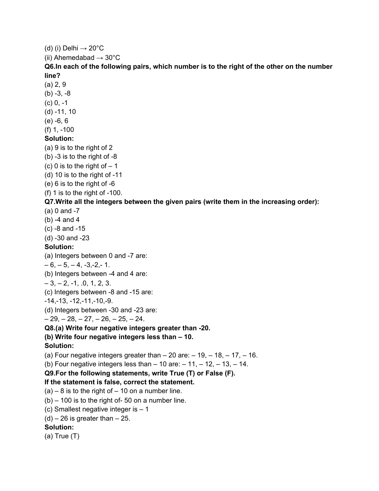(d) (i) Delhi  $\rightarrow$  20 $^{\circ}$ C (ii) Ahemedabad  $\rightarrow$  30 $^{\circ}$ C **Q6.In each of the following pairs, which number is to the right of the other on the number line?** (a) 2, 9  $(b) -3, -8$ (c) 0, -1 (d) -11, 10 (e) -6, 6 (f) 1, -100 **Solution:** (a) 9 is to the right of 2 (b) -3 is to the right of -8 (c) 0 is to the right of  $-1$ (d) 10 is to the right of -11 (e) 6 is to the right of -6 (f) 1 is to the right of -100. **Q7.Write all the integers between the given pairs (write them in the increasing order):** (a) 0 and -7 (b) -4 and 4 (c) -8 and -15 (d) -30 and -23 **Solution:** (a) Integers between 0 and -7 are:  $-6, -5, -4, -3, -2, -1.$ (b) Integers between -4 and 4 are:  $-3, -2, -1, .0, 1, 2, 3.$ (c) Integers between -8 and -15 are: -14,-13, -12,-11,-10,-9. (d) Integers between -30 and -23 are:  $-29, -28, -27, -26, -25, -24.$ **Q8.(a) Write four negative integers greater than -20. (b) Write four negative integers less than – 10. Solution:** (a) Four negative integers greater than  $-20$  are:  $-19$ ,  $-18$ ,  $-17$ ,  $-16$ . (b) Four negative integers less than  $-10$  are:  $-11$ ,  $-12$ ,  $-13$ ,  $-14$ . **Q9.For the following statements, write True (T) or False (F). If the statement is false, correct the statement.**  $(a) - 8$  is to the right of  $-10$  on a number line.  $(b)$  – 100 is to the right of-50 on a number line. (c) Smallest negative integer is – 1  $(d)$  – 26 is greater than – 25. **Solution:** (a) True (T)